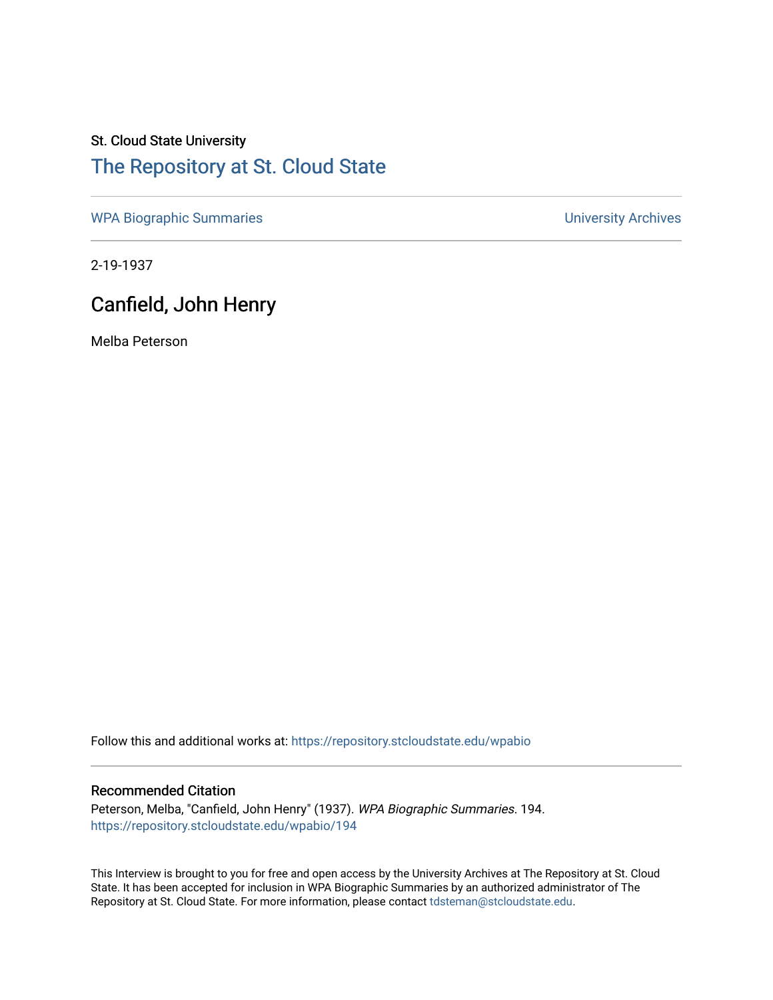# St. Cloud State University [The Repository at St. Cloud State](https://repository.stcloudstate.edu/)

[WPA Biographic Summaries](https://repository.stcloudstate.edu/wpabio) **WPA Biographic Summaries University Archives** 

2-19-1937

## Canfield, John Henry

Melba Peterson

Follow this and additional works at: [https://repository.stcloudstate.edu/wpabio](https://repository.stcloudstate.edu/wpabio?utm_source=repository.stcloudstate.edu%2Fwpabio%2F194&utm_medium=PDF&utm_campaign=PDFCoverPages) 

#### Recommended Citation

Peterson, Melba, "Canfield, John Henry" (1937). WPA Biographic Summaries. 194. [https://repository.stcloudstate.edu/wpabio/194](https://repository.stcloudstate.edu/wpabio/194?utm_source=repository.stcloudstate.edu%2Fwpabio%2F194&utm_medium=PDF&utm_campaign=PDFCoverPages) 

This Interview is brought to you for free and open access by the University Archives at The Repository at St. Cloud State. It has been accepted for inclusion in WPA Biographic Summaries by an authorized administrator of The Repository at St. Cloud State. For more information, please contact [tdsteman@stcloudstate.edu.](mailto:tdsteman@stcloudstate.edu)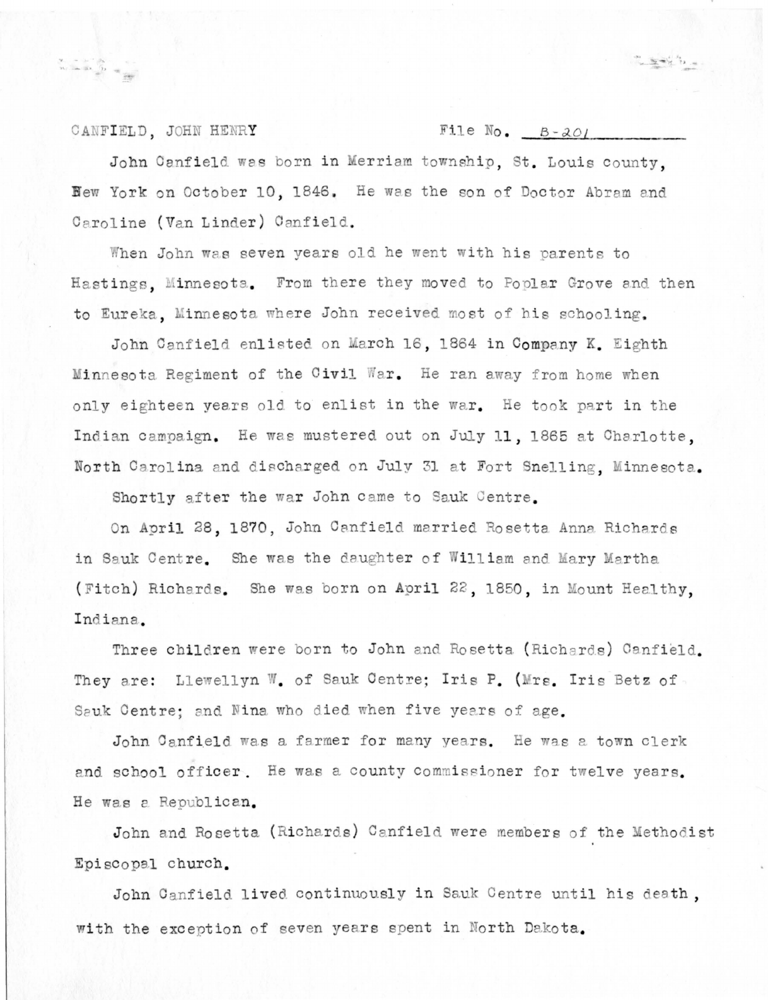CANFIELD. JOHN HENRY

 $\begin{array}{ccc}\n\mathbf{y}_{n} & = & \mathbf{y}_{n} & \mathbf{y}_{n} \\
\mathbf{y}_{n} & = & \mathbf{y}_{n} & \mathbf{y}_{n} \\
\mathbf{y}_{n} & = & \mathbf{y}_{n} & \mathbf{y}_{n} \\
\mathbf{y}_{n} & = & \mathbf{y}_{n} & \mathbf{y}_{n} \\
\mathbf{y}_{n} & = & \mathbf{y}_{n} & \mathbf{y}_{n} \\
\mathbf{y}_{n} & = & \mathbf{y}_{n} & \mathbf{y}_{n} \\
\mathbf{y}_{n} & = & \mathbf{y}_{n} & \mathbf{y}_{n} \\
\mathbf{y}_{n} &$ 

File  $No.$   $B - 201$ 

John Canfield was born in Merriam township, St. Louis county. New York on October 10, 1846. He was the son of Doctor Abram and Caroline (Van Linder) Canfield.

When John was seven years old he went with his parents to Hastings. Minnesota. From there they moved to Poplar Grove and then to Eureka, Minnesota where John received most of his schooling.

John Canfield enlisted on March 16, 1864 in Company K. Eighth Minnesota Regiment of the Civil War. He ran away from home when only eighteen years old to enlist in the war. He took part in the Indian campaign. He was mustered out on July 11, 1865 at Charlotte. North Carolina and discharged on July 31 at Fort Snelling, Minnesota.

Shortly after the war John came to Sauk Centre.

On April 28, 1870, John Canfield married Rosetta Anna Richards in Sauk Centre. She was the daughter of William and Mary Martha (Fitch) Richards. She was born on April 22, 1850, in Mount Healthy, Indiana.

Three children were born to John and Rosetta (Richards) Canfield. They are: Llewellyn W. of Sauk Centre; Iris P. (Mrs. Iris Betz of Sauk Centre; and Nina who died when five years of age.

John Canfield was a farmer for many years. He was a town clerk and school officer. He was a county commissioner for twelve years. He was a Republican.

John and Rosetta (Richards) Canfield were members of the Methodist Episcopal church.

John Canfield lived continuously in Sauk Centre until his death, with the exception of seven years spent in North Dakota.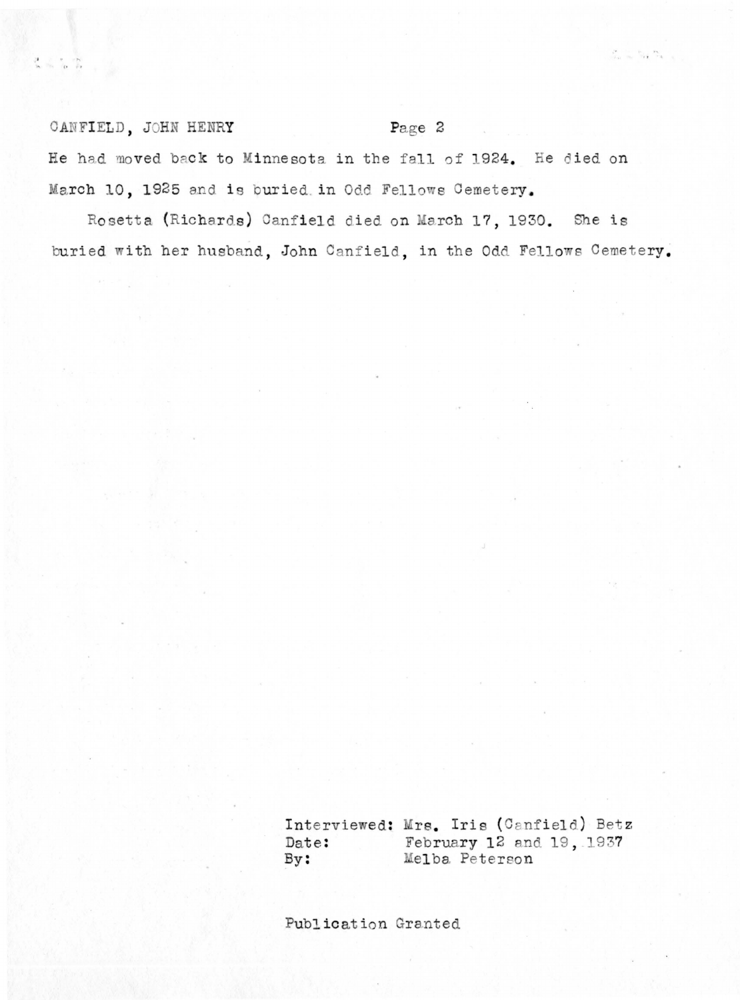### CANFIELD, JOHN HENRY

#### Page 2

 $\label{eq:2.1} \begin{array}{ccccc} \varphi & \cdots & \nu_{\text{eq}} & \nu_{\text{eq}} & \cdots \\ \vdots & \vdots & \vdots & \vdots \\ \end{array}$ 

He had moved back to Minnesota in the fall of 1924. He died on March 10, 1925 and is buried in Odd Fellows Cemetery.

Rosetta (Richards) Canfield died on March 17, 1930. She is buried with her husband, John Canfield, in the Odd Fellows Cemetery.

> Interviewed: Mrs. Iris (Canfield) Betz February 12 and 19, 1937 Date: Melba Peterson  $By:$

Publication Granted